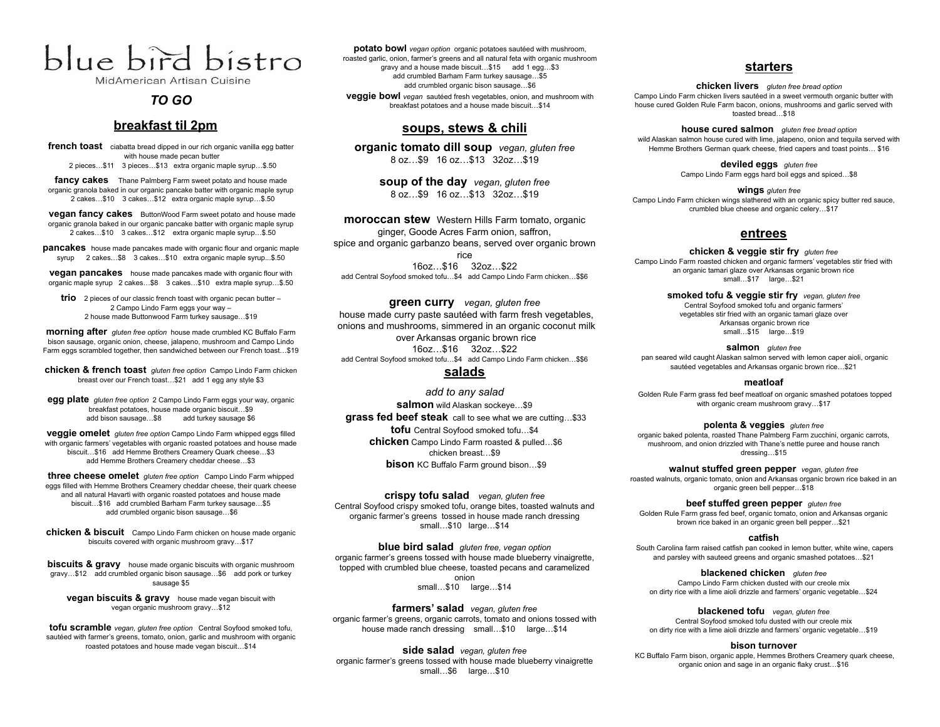# blue bird bistro

MidAmerican Artisan Cuisine

# *TO GO*

# **breakfast til 2pm**

**french toast** ciabatta bread dipped in our rich organic vanilla egg batter with house made pecan butter 2 pieces…\$11 3 pieces…\$13 extra organic maple syrup…\$.50

**fancy cakes** Thane Palmberg Farm sweet potato and house made organic granola baked in our organic pancake batter with organic maple syrup 2 cakes…\$10 3 cakes…\$12 extra organic maple syrup…\$.50

**vegan fancy cakes** ButtonWood Farm sweet potato and house made organic granola baked in our organic pancake batter with organic maple syrup 2 cakes…\$10 3 cakes…\$12 extra organic maple syrup…\$.50

**pancakes** house made pancakes made with organic flour and organic maple syrup 2 cakes…\$8 3 cakes…\$10 extra organic maple syrup...\$.50

**vegan pancakes** house made pancakes made with organic flour with organic maple syrup 2 cakes…\$8 3 cakes…\$10 extra maple syrup…\$.50

**trio** 2 pieces of our classic french toast with organic pecan butter – 2 Campo Lindo Farm eggs your way – 2 house made Buttonwood Farm turkey sausage…\$19

**morning after** *gluten free option* house made crumbled KC Buffalo Farm bison sausage, organic onion, cheese, jalapeno, mushroom and Campo Lindo Farm eggs scrambled together, then sandwiched between our French toast…\$19

**chicken & french toast** *gluten free option* Campo Lindo Farm chicken breast over our French toast…\$21 add 1 egg any style \$3

**egg plate** *gluten free option* 2 Campo Lindo Farm eggs your way, organic breakfast potatoes, house made organic biscuit...\$9<br>add bison sausage...\$8 add turkey sausage \$6 add bison sausage...\$8

**veggie omelet** *gluten free option* Campo Lindo Farm whipped eggs filled with organic farmers' vegetables with organic roasted potatoes and house made biscuit…\$16 add Hemme Brothers Creamery Quark cheese…\$3 add Hemme Brothers Creamery cheddar cheese…\$3

**three cheese omelet** *gluten free option* Campo Lindo Farm whipped eggs filled with Hemme Brothers Creamery cheddar cheese, their quark cheese and all natural Havarti with organic roasted potatoes and house made biscuit…\$16 add crumbled Barham Farm turkey sausage…\$5 add crumbled organic bison sausage…\$6

**chicken & biscuit** Campo Lindo Farm chicken on house made organic biscuits covered with organic mushroom gravy…\$17

**biscuits & gravy** house made organic biscuits with organic mushroom gravy…\$12 add crumbled organic bison sausage…\$6 add pork or turkey sausage \$5

**vegan biscuits & gravy** house made vegan biscuit with vegan organic mushroom gravy…\$12

**tofu scramble** *vegan, gluten free option* Central Soyfood smoked tofu, sautéed with farmer's greens, tomato, onion, garlic and mushroom with organic roasted potatoes and house made vegan biscuit…\$14

**potato bowl** *vegan option* organic potatoes sautéed with mushroom, roasted garlic, onion, farmer's greens and all natural feta with organic mushroom gravy and a house made biscuit…\$15 add 1 egg…\$3 add crumbled Barham Farm turkey sausage…\$5 add crumbled organic bison sausage…\$6 **veggie bowl** *vegan* sautéed fresh vegetables, onion, and mushroom with breakfast potatoes and a house made biscuit…\$14

## **soups, stews & chili**

**organic tomato dill soup** *vegan, gluten free* 8 oz…\$9 16 oz…\$13 32oz…\$19

> **soup of the day** *vegan, gluten free* 8 oz…\$9 16 oz…\$13 32oz…\$19

**moroccan stew** Western Hills Farm tomato, organic ginger, Goode Acres Farm onion, saffron, spice and organic garbanzo beans, served over organic brown rice 16oz…\$16 32oz…\$22 add Central Soyfood smoked tofu…\$4 add Campo Lindo Farm chicken…\$\$6

**green curry** *vegan, gluten free* house made curry paste sautéed with farm fresh vegetables, onions and mushrooms, simmered in an organic coconut milk over Arkansas organic brown rice 16oz…\$16 32oz…\$22 add Central Soyfood smoked tofu…\$4 add Campo Lindo Farm chicken…\$\$6

### **salads**

*add to any salad* **salmon** wild Alaskan sockeye…\$9 **grass fed beef steak** call to see what we are cutting…\$33 **tofu** Central Soyfood smoked tofu…\$4 **chicken** Campo Lindo Farm roasted & pulled…\$6 chicken breast…\$9 **bison** KC Buffalo Farm ground bison...\$9

**crispy tofu salad** *vegan, gluten free* Central Soyfood crispy smoked tofu, orange bites, toasted walnuts and organic farmer's greens tossed in house made ranch dressing small…\$10 large…\$14

**blue bird salad** *gluten free, vegan option* organic farmer's greens tossed with house made blueberry vinaigrette, topped with crumbled blue cheese, toasted pecans and caramelized onion small…\$10 large…\$14

**farmers' salad** *vegan, gluten free* organic farmer's greens, organic carrots, tomato and onions tossed with house made ranch dressing small...\$10 large...\$14

**side salad** *vegan, gluten free* organic farmer's greens tossed with house made blueberry vinaigrette small…\$6 large…\$10

## **starters**

**chicken livers** *gluten free bread option* Campo Lindo Farm chicken livers sautéed in a sweet vermouth organic butter with house cured Golden Rule Farm bacon, onions, mushrooms and garlic served with toasted bread…\$18

**house cured salmon** *gluten free bread option* wild Alaskan salmon house cured with lime, jalapeno, onion and tequila served with Hemme Brothers German quark cheese, fried capers and toast points… \$16

> **deviled eggs** *gluten free* Campo Lindo Farm eggs hard boil eggs and spiced…\$8

**wings** *gluten free* Campo Lindo Farm chicken wings slathered with an organic spicy butter red sauce, crumbled blue cheese and organic celery…\$17

## **entrees**

**chicken & veggie stir fry** *gluten free* Campo Lindo Farm roasted chicken and organic farmers' vegetables stir fried with an organic tamari glaze over Arkansas organic brown rice small…\$17 large…\$21

> **smoked tofu & veggie stir fry** *vegan, gluten free* Central Soyfood smoked tofu and organic farmers' vegetables stir fried with an organic tamari glaze over Arkansas organic brown rice small…\$15 large…\$19

**salmon** *gluten free* pan seared wild caught Alaskan salmon served with lemon caper aioli, organic sautéed vegetables and Arkansas organic brown rice…\$21

#### **meatloaf**

Golden Rule Farm grass fed beef meatloaf on organic smashed potatoes topped with organic cream mushroom gravy…\$17

**polenta & veggies** *gluten free*

organic baked polenta, roasted Thane Palmberg Farm zucchini, organic carrots, mushroom, and onion drizzled with Thane's nettle puree and house ranch dressing…\$15

**walnut stuffed green pepper** *vegan, gluten free* roasted walnuts, organic tomato, onion and Arkansas organic brown rice baked in an organic green bell pepper…\$18

**beef stuffed green pepper** *gluten free*

Golden Rule Farm grass fed beef, organic tomato, onion and Arkansas organic brown rice baked in an organic green bell pepper…\$21

#### **catfish**

South Carolina farm raised catfish pan cooked in lemon butter, white wine, capers and parsley with sauteed greens and organic smashed potatoes…\$21

**blackened chicken** *gluten free* Campo Lindo Farm chicken dusted with our creole mix on dirty rice with a lime aioli drizzle and farmers' organic vegetable…\$24

**blackened tofu** *vegan, gluten free* Central Soyfood smoked tofu dusted with our creole mix on dirty rice with a lime aioli drizzle and farmers' organic vegetable…\$19

#### **bison turnover**

KC Buffalo Farm bison, organic apple, Hemmes Brothers Creamery quark cheese, organic onion and sage in an organic flaky crust…\$16